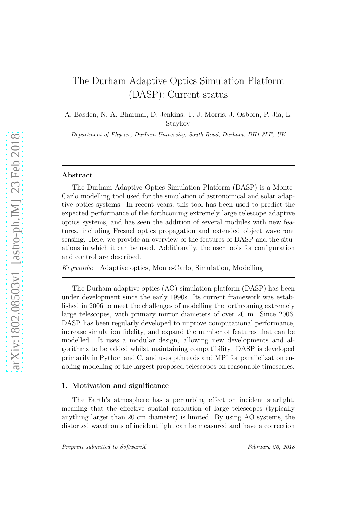# The Durham Adaptive Optics Simulation Platform (DASP): Current status

A. Basden, N. A. Bharmal, D. Jenkins, T. J. Morris, J. Osborn, P. Jia, L. Staykov

Department of Physics, Durham University, South Road, Durham, DH1 3LE, UK

#### Abstract

The Durham Adaptive Optics Simulation Platform (DASP) is a Monte-Carlo modelling tool used for the simulation of astronomical and solar adaptive optics systems. In recent years, this tool has been used to predict the expected performance of the forthcoming extremely large telescope adaptive optics systems, and has seen the addition of several modules with new features, including Fresnel optics propagation and extended object wavefront sensing. Here, we provide an overview of the features of DASP and the situations in which it can be used. Additionally, the user tools for configuration and control are described.

*Keywords:* Adaptive optics, Monte-Carlo, Simulation, Modelling

The Durham adaptive optics (AO) simulation platform (DASP) has been under development since the early 1990s. Its current framework was established in 2006 to meet the challenges of modelling the forthcoming extremely large telescopes, with primary mirror diameters of over 20 m. Since 2006, DASP has been regularly developed to improve computational performance, increase simulation fidelity, and expand the number of features that can be modelled. It uses a modular design, allowing new developments and algorithms to be added whilst maintaining compatibility. DASP is developed primarily in Python and C, and uses pthreads and MPI for parallelization enabling modelling of the largest proposed telescopes on reasonable timescales.

#### 1. Motivation and significance

The Earth's atmosphere has a perturbing effect on incident starlight, meaning that the effective spatial resolution of large telescopes (typically anything larger than 20 cm diameter) is limited. By using AO systems, the distorted wavefronts of incident light can be measured and have a correction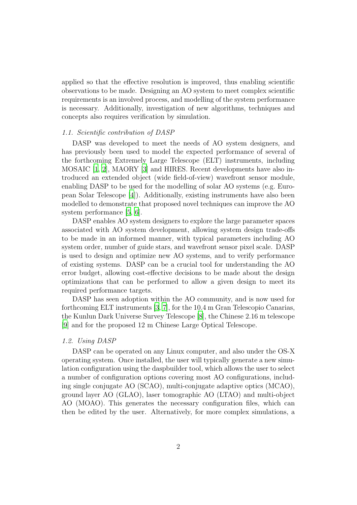applied so that the effective resolution is improved, thus enabling scientific observations to be made. Designing an AO system to meet complex scientific requirements is an involved process, and modelling of the system performance is necessary. Additionally, investigation of new algorithms, techniques and concepts also requires verification by simulation.

# *1.1. Scientific contribution of DASP*

DASP was developed to meet the needs of AO system designers, and has previously been used to model the expected performance of several of the forthcoming Extremely Large Telescope (ELT) instruments, including MOSAIC [\[1,](#page-11-0) [2](#page-11-1)], MAORY [\[3](#page-11-2)] and HIRES. Recent developments have also introduced an extended object (wide field-of-view) wavefront sensor module, enabling DASP to be used for the modelling of solar AO systems (e.g. European Solar Telescope [\[4](#page-11-3)]). Additionally, existing instruments have also been modelled to demonstrate that proposed novel techniques can improve the AO system performance [\[5,](#page-11-4) [6\]](#page-11-5).

DASP enables AO system designers to explore the large parameter spaces associated with AO system development, allowing system design trade-offs to be made in an informed manner, with typical parameters including AO system order, number of guide stars, and wavefront sensor pixel scale. DASP is used to design and optimize new AO systems, and to verify performance of existing systems. DASP can be a crucial tool for understanding the AO error budget, allowing cost-effective decisions to be made about the design optimizations that can be performed to allow a given design to meet its required performance targets.

DASP has seen adoption within the AO community, and is now used for forthcoming ELT instruments [\[3](#page-11-2), [7](#page-11-6)], for the 10.4 m Gran Telescopio Canarias, the Kunlun Dark Universe Survey Telescope [\[8](#page-12-0)], the Chinese 2.16 m telescope [\[9\]](#page-12-1) and for the proposed 12 m Chinese Large Optical Telescope.

# *1.2. Using DASP*

DASP can be operated on any Linux computer, and also under the OS-X operating system. Once installed, the user will typically generate a new simulation configuration using the daspbuilder tool, which allows the user to select a number of configuration options covering most AO configurations, including single conjugate AO (SCAO), multi-conjugate adaptive optics (MCAO), ground layer AO (GLAO), laser tomographic AO (LTAO) and multi-object AO (MOAO). This generates the necessary configuration files, which can then be edited by the user. Alternatively, for more complex simulations, a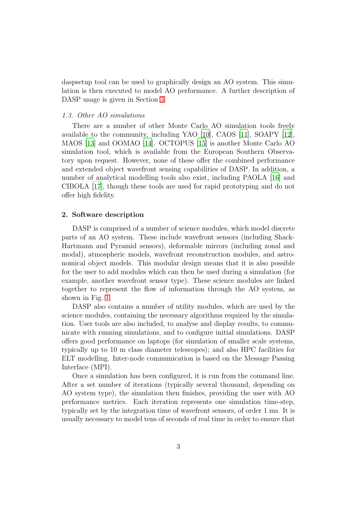daspsetup tool can be used to graphically design an AO system. This simulation is then executed to model AO performance. A further description of DASP usage is given in Section [3](#page-7-0)

### *1.3. Other AO simulations*

There are a number of other Monte Carlo AO simulation tools freely available to the community, including YAO [\[10](#page-12-2)], CAOS [\[11\]](#page-12-3), SOAPY [\[12\]](#page-12-4), MAOS [\[13\]](#page-12-5) and OOMAO [\[14\]](#page-12-6). OCTOPUS [\[15\]](#page-12-7) is another Monte Carlo AO simulation tool, which is available from the European Southern Observatory upon request. However, none of these offer the combined performance and extended object wavefront sensing capabilities of DASP. In addition, a number of analytical modelling tools also exist, including PAOLA [\[16\]](#page-12-8) and CIBOLA [\[17](#page-13-0)], though these tools are used for rapid prototyping and do not offer high fidelity.

# 2. Software description

DASP is comprised of a number of science modules, which model discrete parts of an AO system. These include wavefront sensors (including Shack-Hartmann and Pyramid sensors), deformable mirrors (including zonal and modal), atmospheric models, wavefront reconstruction modules, and astronomical object models. This modular design means that it is also possible for the user to add modules which can then be used during a simulation (for example, another wavefront sensor type). These science modules are linked together to represent the flow of information through the AO system, as shown in Fig. [1.](#page-3-0)

DASP also contains a number of utility modules, which are used by the science modules, containing the necessary algorithms required by the simulation. User tools are also included, to analyse and display results, to communicate with running simulations, and to configure initial simulations. DASP offers good performance on laptops (for simulation of smaller scale systems, typically up to 10 m class diameter telescopes); and also HPC facilities for ELT modelling. Inter-node communication is based on the Message Passing Interface (MPI).

Once a simulation has been configured, it is run from the command line. After a set number of iterations (typically several thousand, depending on AO system type), the simulation then finishes, providing the user with AO performance metrics. Each iteration represents one simulation time-step, typically set by the integration time of wavefront sensors, of order 1 ms. It is usually necessary to model tens of seconds of real time in order to ensure that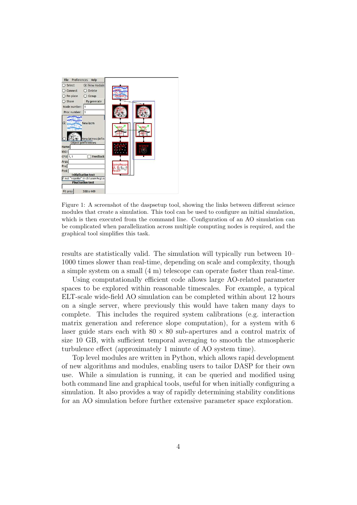

Figure 1: A screenshot of the daspsetup tool, showing the links between different science modules that create a simulation. This tool can be used to configure an initial simulation, which is then executed from the command line. Configuration of an AO simulation can be complicated when parallelization across multiple computing nodes is required, and the graphical tool simplifies this task.

<span id="page-3-0"></span>results are statistically valid. The simulation will typically run between 10– 1000 times slower than real-time, depending on scale and complexity, though a simple system on a small (4 m) telescope can operate faster than real-time.

Using computationally efficient code allows large AO-related parameter spaces to be explored within reasonable timescales. For example, a typical ELT-scale wide-field AO simulation can be completed within about 12 hours on a single server, where previously this would have taken many days to complete. This includes the required system calibrations (e.g. interaction matrix generation and reference slope computation), for a system with 6 laser guide stars each with  $80 \times 80$  sub-apertures and a control matrix of size 10 GB, with sufficient temporal averaging to smooth the atmospheric turbulence effect (approximately 1 minute of AO system time).

Top level modules are written in Python, which allows rapid development of new algorithms and modules, enabling users to tailor DASP for their own use. While a simulation is running, it can be queried and modified using both command line and graphical tools, useful for when initially configuring a simulation. It also provides a way of rapidly determining stability conditions for an AO simulation before further extensive parameter space exploration.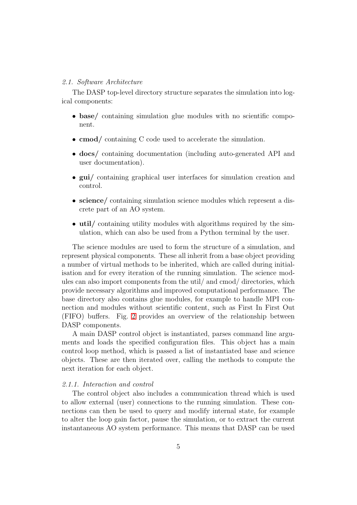#### *2.1. Software Architecture*

The DASP top-level directory structure separates the simulation into logical components:

- base/ containing simulation glue modules with no scientific component.
- cmod/ containing C code used to accelerate the simulation.
- docs/ containing documentation (including auto-generated API and user documentation).
- gui/ containing graphical user interfaces for simulation creation and control.
- science/ containing simulation science modules which represent a discrete part of an AO system.
- util/ containing utility modules with algorithms required by the simulation, which can also be used from a Python terminal by the user.

The science modules are used to form the structure of a simulation, and represent physical components. These all inherit from a base object providing a number of virtual methods to be inherited, which are called during initialisation and for every iteration of the running simulation. The science modules can also import components from the util/ and cmod/ directories, which provide necessary algorithms and improved computational performance. The base directory also contains glue modules, for example to handle MPI connection and modules without scientific content, such as First In First Out (FIFO) buffers. Fig. [2](#page-5-0) provides an overview of the relationship between DASP components.

A main DASP control object is instantiated, parses command line arguments and loads the specified configuration files. This object has a main control loop method, which is passed a list of instantiated base and science objects. These are then iterated over, calling the methods to compute the next iteration for each object.

## *2.1.1. Interaction and control*

The control object also includes a communication thread which is used to allow external (user) connections to the running simulation. These connections can then be used to query and modify internal state, for example to alter the loop gain factor, pause the simulation, or to extract the current instantaneous AO system performance. This means that DASP can be used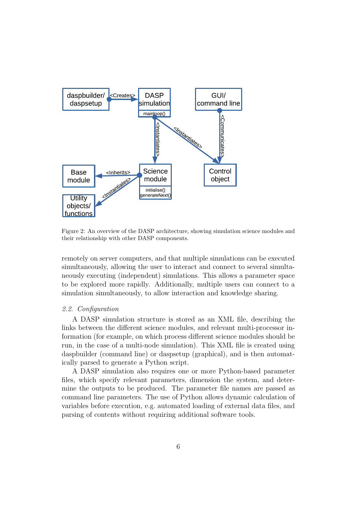

<span id="page-5-0"></span>Figure 2: An overview of the DASP architecture, showing simulation science modules and their relationship with other DASP components.

remotely on server computers, and that multiple simulations can be executed simultaneously, allowing the user to interact and connect to several simultaneously executing (independent) simulations. This allows a parameter space to be explored more rapidly. Additionally, multiple users can connect to a simulation simultaneously, to allow interaction and knowledge sharing.

# *2.2. Configuration*

A DASP simulation structure is stored as an XML file, describing the links between the different science modules, and relevant multi-processor information (for example, on which process different science modules should be run, in the case of a multi-node simulation). This XML file is created using daspbuilder (command line) or daspsetup (graphical), and is then automatically parsed to generate a Python script.

A DASP simulation also requires one or more Python-based parameter files, which specify relevant parameters, dimension the system, and determine the outputs to be produced. The parameter file names are passed as command line parameters. The use of Python allows dynamic calculation of variables before execution, e.g. automated loading of external data files, and parsing of contents without requiring additional software tools.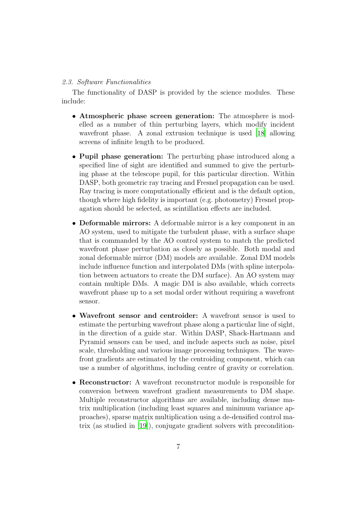# *2.3. Software Functionalities*

The functionality of DASP is provided by the science modules. These include:

- Atmospheric phase screen generation: The atmosphere is modelled as a number of thin perturbing layers, which modify incident wavefront phase. A zonal extrusion technique is used [\[18\]](#page-13-1) allowing screens of infinite length to be produced.
- Pupil phase generation: The perturbing phase introduced along a specified line of sight are identified and summed to give the perturbing phase at the telescope pupil, for this particular direction. Within DASP, both geometric ray tracing and Fresnel propagation can be used. Ray tracing is more computationally efficient and is the default option, though where high fidelity is important (e.g. photometry) Fresnel propagation should be selected, as scintillation effects are included.
- Deformable mirrors: A deformable mirror is a key component in an AO system, used to mitigate the turbulent phase, with a surface shape that is commanded by the AO control system to match the predicted wavefront phase perturbation as closely as possible. Both modal and zonal deformable mirror (DM) models are available. Zonal DM models include influence function and interpolated DMs (with spline interpolation between actuators to create the DM surface). An AO system may contain multiple DMs. A magic DM is also available, which corrects wavefront phase up to a set modal order without requiring a wavefront sensor.
- Wavefront sensor and centroider: A wavefront sensor is used to estimate the perturbing wavefront phase along a particular line of sight, in the direction of a guide star. Within DASP, Shack-Hartmann and Pyramid sensors can be used, and include aspects such as noise, pixel scale, thresholding and various image processing techniques. The wavefront gradients are estimated by the centroiding component, which can use a number of algorithms, including centre of gravity or correlation.
- Reconstructor: A wavefront reconstructor module is responsible for conversion between wavefront gradient measurements to DM shape. Multiple reconstructor algorithms are available, including dense matrix multiplication (including least squares and minimum variance approaches), sparse matrix multiplication using a de-densified control matrix (as studied in [\[19](#page-13-2)]), conjugate gradient solvers with precondition-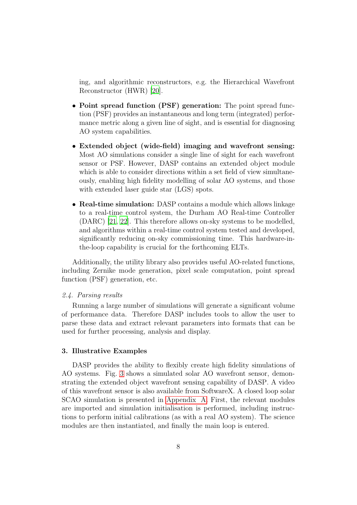ing, and algorithmic reconstructors, e.g. the Hierarchical Wavefront Reconstructor (HWR) [\[20](#page-13-3)].

- Point spread function (PSF) generation: The point spread function (PSF) provides an instantaneous and long term (integrated) performance metric along a given line of sight, and is essential for diagnosing AO system capabilities.
- Extended object (wide-field) imaging and wavefront sensing: Most AO simulations consider a single line of sight for each wavefront sensor or PSF. However, DASP contains an extended object module which is able to consider directions within a set field of view simultaneously, enabling high fidelity modelling of solar AO systems, and those with extended laser guide star (LGS) spots.
- Real-time simulation: DASP contains a module which allows linkage to a real-time control system, the Durham AO Real-time Controller (DARC) [\[21,](#page-13-4) [22](#page-13-5)]. This therefore allows on-sky systems to be modelled, and algorithms within a real-time control system tested and developed, significantly reducing on-sky commissioning time. This hardware-inthe-loop capability is crucial for the forthcoming ELTs.

Additionally, the utility library also provides useful AO-related functions, including Zernike mode generation, pixel scale computation, point spread function (PSF) generation, etc.

# *2.4. Parsing results*

Running a large number of simulations will generate a significant volume of performance data. Therefore DASP includes tools to allow the user to parse these data and extract relevant parameters into formats that can be used for further processing, analysis and display.

### <span id="page-7-0"></span>3. Illustrative Examples

DASP provides the ability to flexibly create high fidelity simulations of AO systems. Fig. [3](#page-8-0) shows a simulated solar AO wavefront sensor, demonstrating the extended object wavefront sensing capability of DASP. A video of this wavefront sensor is also available from SoftwareX. A closed loop solar SCAO simulation is presented in [Appendix A.](#page-10-0) First, the relevant modules are imported and simulation initialisation is performed, including instructions to perform initial calibrations (as with a real AO system). The science modules are then instantiated, and finally the main loop is entered.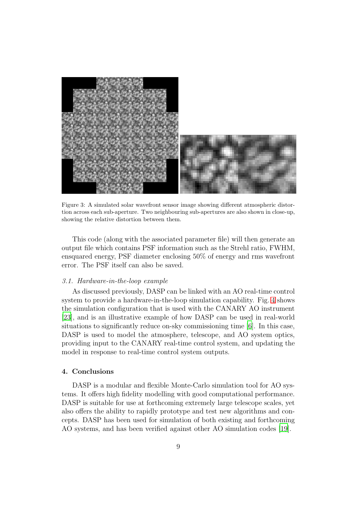

Figure 3: A simulated solar wavefront sensor image showing different atmospheric distortion across each sub-aperture. Two neighbouring sub-apertures are also shown in close-up, showing the relative distortion between them.

<span id="page-8-0"></span>This code (along with the associated parameter file) will then generate an output file which contains PSF information such as the Strehl ratio, FWHM, ensquared energy, PSF diameter enclosing 50% of energy and rms wavefront error. The PSF itself can also be saved.

# *3.1. Hardware-in-the-loop example*

As discussed previously, DASP can be linked with an AO real-time control system to provide a hardware-in-the-loop simulation capability. Fig. [4](#page-9-0) shows the simulation configuration that is used with the CANARY AO instrument [\[23\]](#page-13-6), and is an illustrative example of how DASP can be used in real-world situations to significantly reduce on-sky commissioning time [\[6\]](#page-11-5). In this case, DASP is used to model the atmosphere, telescope, and AO system optics, providing input to the CANARY real-time control system, and updating the model in response to real-time control system outputs.

# 4. Conclusions

DASP is a modular and flexible Monte-Carlo simulation tool for AO systems. It offers high fidelity modelling with good computational performance. DASP is suitable for use at forthcoming extremely large telescope scales, yet also offers the ability to rapidly prototype and test new algorithms and concepts. DASP has been used for simulation of both existing and forthcoming AO systems, and has been verified against other AO simulation codes [\[19](#page-13-2)].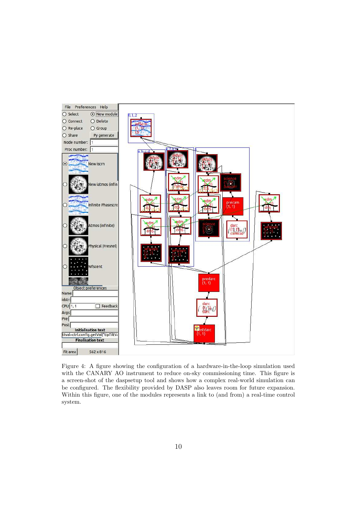

<span id="page-9-0"></span>Figure 4: A figure showing the configuration of a hardware-in-the-loop simulation used with the CANARY AO instrument to reduce on-sky commissioning time. This figure is a screen-shot of the daspsetup tool and shows how a complex real-world simulation can be configured. The flexibility provided by DASP also leaves room for future expansion. Within this figure, one of the modules represents a link to (and from) a real-time control system.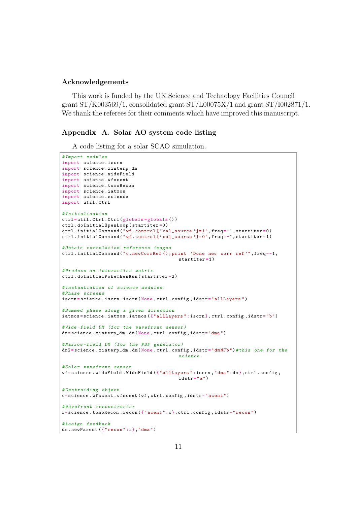## Acknowledgements

This work is funded by the UK Science and Technology Facilities Council grant  $ST/K003569/1$ , consolidated grant  $ST/L00075X/1$  and grant  $ST/I002871/1$ . We thank the referees for their comments which have improved this manuscript.

# <span id="page-10-0"></span>Appendix A. Solar AO system code listing

A code listing for a solar SCAO simulation.

```
# Import m o d u l e s
import science . iscrn
import science . xinterp_dm
import science . wideField
import science . wfscent
import science . tomoRecon
import science . iatmos
import science . science
import util . Ctrl
# I n i t i a l i s a t i o n
ctrl= util . Ctrl . Ctrl ( globals = globals () )
ctrl . doInitialOpenLoop ( startiter =0 )
ctrl . initialCommand (" wf . control [' cal_source ']= 1", freq=-1 , startiter =0)
ctrl . initialCommand (" wf . control [' cal_source ']= 0", freq=-1 , startiter =1)
# Obtain c o r r e l a t i o n r e f e r e n c e images
ctrl . initialCommand (" c. newCorrRef () ; print ' Done new corr ref '", freq=-1 ,
                                                startiter =1 )
# P r o d u c e an i n t e r a c t i o n matrix
ctrl . doInitialPokeThenRun ( startiter =2 )
# i n s t a n t i a t i o n of s c i e n c e m o d u l e s :
# Phase s c r e e n s
iscrn=science.iscrn.iscrn(None,ctrl.config,idstr="allLayers")
#Summed phase along a given direction
iatmos = science . iatmos . iatmos ({" allLayers ": iscrn }, ctrl . config , idstr =" b")
# Wide - field DM ( for the w a v e f r o n t sensor )
dm=science.xinterp_dm.dm(None,ctrl.config,idstr="dma")
#Narrow-field DM (for the PSF generator)
dm2 = science . xinterp_dm . dm (None , ctrl . config , idstr =" dmNFb ")# this one for the
                                                s c i e n c e .
# Solar w a v e f r o n t sensor
wf= science . wideField . WideField ({" allLayers ":iscrn ," dma ":dm}, ctrl . config ,
                                                idx = "a")# C e n t r o i d i n g object
c= science . wfscent . wfscent ( wf , ctrl . config , idstr =" acent ")
# W a v e f r o n t r e c o n s t r u c t o r
r= science . tomoRecon . recon ({" acent ":c}, ctrl . config , idstr =" recon ")
# Assign f e e d b a c k
dm . newParent ({" recon ":r}," dma ")
```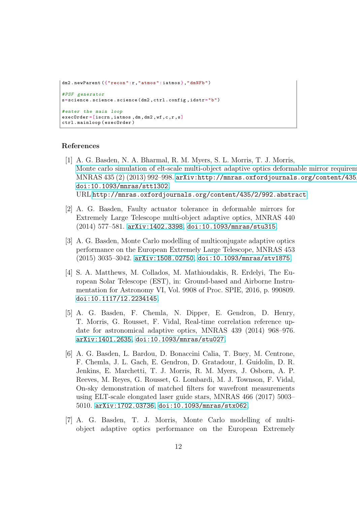```
dm2.newParent ({"recon":r,"atmos":iatmos},"dmNFb")
# PSF g e n e r a t o r
{\tt s} = science . science . science (dm2 , ctrl . config , idstr = "b")
# enter the main loop
execOrder = [iscrn, iatmos, dm, dm2, wf, c, r, s]
ctrl . mainloop ( execOrder )
```
#### References

- <span id="page-11-0"></span>[1] A. G. Basden, N. A. Bharmal, R. M. Myers, S. L. Morris, T. J. Morris, Monte carlo simulation of elt-scale multi-object adaptive optics deformable mirror requirem MNRAS  $435 (2) (2013) 992–998.$  arXiv:http://mnras.oxfordjournals.org/content/435 [doi:10.1093/mnras/stt1302](http://dx.doi.org/10.1093/mnras/stt1302). URL <http://mnras.oxfordjournals.org/content/435/2/992.abstract>
- <span id="page-11-1"></span>[2] A. G. Basden, Faulty actuator tolerance in deformable mirrors for Extremely Large Telescope multi-object adaptive optics, MNRAS 440 (2014) 577–581. [arXiv:1402.3398](http://arxiv.org/abs/1402.3398), [doi:10.1093/mnras/stu315](http://dx.doi.org/10.1093/mnras/stu315).
- <span id="page-11-2"></span>[3] A. G. Basden, Monte Carlo modelling of multiconjugate adaptive optics performance on the European Extremely Large Telescope, MNRAS 453 (2015) 3035–3042. [arXiv:1508.02750](http://arxiv.org/abs/1508.02750), [doi:10.1093/mnras/stv1875](http://dx.doi.org/10.1093/mnras/stv1875).
- <span id="page-11-3"></span>[4] S. A. Matthews, M. Collados, M. Mathioudakis, R. Erdelyi, The European Solar Telescope (EST), in: Ground-based and Airborne Instrumentation for Astronomy VI, Vol. 9908 of Proc. SPIE, 2016, p. 990809. [doi:10.1117/12.2234145](http://dx.doi.org/10.1117/12.2234145).
- <span id="page-11-4"></span>[5] A. G. Basden, F. Chemla, N. Dipper, E. Gendron, D. Henry, T. Morris, G. Rousset, F. Vidal, Real-time correlation reference update for astronomical adaptive optics, MNRAS 439 (2014) 968–976. [arXiv:1401.2635](http://arxiv.org/abs/1401.2635), [doi:10.1093/mnras/stu027](http://dx.doi.org/10.1093/mnras/stu027).
- <span id="page-11-5"></span>[6] A. G. Basden, L. Bardou, D. Bonaccini Calia, T. Buey, M. Centrone, F. Chemla, J. L. Gach, E. Gendron, D. Gratadour, I. Guidolin, D. R. Jenkins, E. Marchetti, T. J. Morris, R. M. Myers, J. Osborn, A. P. Reeves, M. Reyes, G. Rousset, G. Lombardi, M. J. Townson, F. Vidal, On-sky demonstration of matched filters for wavefront measurements using ELT-scale elongated laser guide stars, MNRAS 466 (2017) 5003– 5010. [arXiv:1702.03736](http://arxiv.org/abs/1702.03736), [doi:10.1093/mnras/stx062](http://dx.doi.org/10.1093/mnras/stx062).
- <span id="page-11-6"></span>[7] A. G. Basden, T. J. Morris, Monte Carlo modelling of multiobject adaptive optics performance on the European Extremely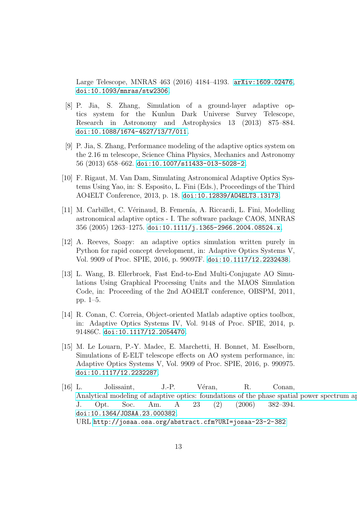Large Telescope, MNRAS 463 (2016) 4184–4193. [arXiv:1609.02476](http://arxiv.org/abs/1609.02476), [doi:10.1093/mnras/stw2306](http://dx.doi.org/10.1093/mnras/stw2306).

- <span id="page-12-0"></span>[8] P. Jia, S. Zhang, Simulation of a ground-layer adaptive optics system for the Kunlun Dark Universe Survey Telescope, Research in Astronomy and Astrophysics 13 (2013) 875–884. [doi:10.1088/1674-4527/13/7/011](http://dx.doi.org/10.1088/1674-4527/13/7/011).
- <span id="page-12-1"></span>[9] P. Jia, S. Zhang, Performance modeling of the adaptive optics system on the 2.16 m telescope, Science China Physics, Mechanics and Astronomy 56 (2013) 658–662. [doi:10.1007/s11433-013-5028-2](http://dx.doi.org/10.1007/s11433-013-5028-2).
- <span id="page-12-2"></span>[10] F. Rigaut, M. Van Dam, Simulating Astronomical Adaptive Optics Systems Using Yao, in: S. Esposito, L. Fini (Eds.), Proceedings of the Third AO4ELT Conference, 2013, p. 18. [doi:10.12839/AO4ELT3.13173](http://dx.doi.org/10.12839/AO4ELT3.13173).
- <span id="page-12-3"></span>[11] M. Carbillet, C. Vérinaud, B. Femenía, A. Riccardi, L. Fini, Modelling astronomical adaptive optics - I. The software package CAOS, MNRAS  $356 (2005) 1263 - 1275$ . [doi:10.1111/j.1365-2966.2004.08524.x](http://dx.doi.org/10.1111/j.1365-2966.2004.08524.x).
- <span id="page-12-4"></span>[12] A. Reeves, Soapy: an adaptive optics simulation written purely in Python for rapid concept development, in: Adaptive Optics Systems V, Vol. 9909 of Proc. SPIE, 2016, p. 99097F. [doi:10.1117/12.2232438](http://dx.doi.org/10.1117/12.2232438).
- <span id="page-12-5"></span>[13] L. Wang, B. Ellerbroek, Fast End-to-End Multi-Conjugate AO Simulations Using Graphical Processing Units and the MAOS Simulation Code, in: Proceeding of the 2nd AO4ELT conference, OBSPM, 2011, pp. 1–5.
- <span id="page-12-6"></span>[14] R. Conan, C. Correia, Object-oriented Matlab adaptive optics toolbox, in: Adaptive Optics Systems IV, Vol. 9148 of Proc. SPIE, 2014, p. 91486C. [doi:10.1117/12.2054470](http://dx.doi.org/10.1117/12.2054470).
- <span id="page-12-7"></span>[15] M. Le Louarn, P.-Y. Madec, E. Marchetti, H. Bonnet, M. Esselborn, Simulations of E-ELT telescope effects on AO system performance, in: Adaptive Optics Systems V, Vol. 9909 of Proc. SPIE, 2016, p. 990975. [doi:10.1117/12.2232287](http://dx.doi.org/10.1117/12.2232287).
- <span id="page-12-8"></span>[16] L. Jolissaint, J.-P. V´eran, R. Conan, Analytical modeling of adaptive optics: foundations of the phase spatial power spectrum approach. J. Opt. Soc. Am. A 23 (2) (2006) 382–394. [doi:10.1364/JOSAA.23.000382](http://dx.doi.org/10.1364/JOSAA.23.000382). URL <http://josaa.osa.org/abstract.cfm?URI=josaa-23-2-382>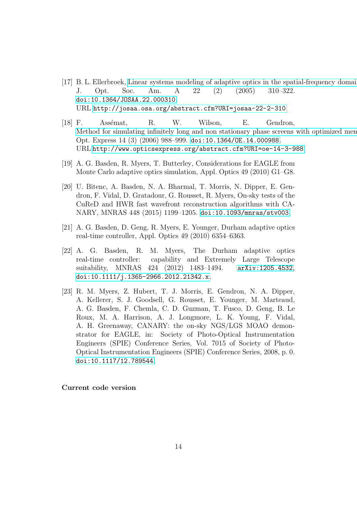- <span id="page-13-0"></span>[17] B. L. Ellerbroek, Linear systems modeling of adaptive optics in the spatial-frequency domain J. Opt. Soc. Am. A 22 (2) (2005) 310–322. [doi:10.1364/JOSAA.22.000310](http://dx.doi.org/10.1364/JOSAA.22.000310). URL <http://josaa.osa.org/abstract.cfm?URI=josaa-22-2-310>
- <span id="page-13-1"></span>[18] F. Assémat, R. W. Wilson, E. Gendron, Method for simulating infinitely long and non stationary phase screens with optimized men Opt. Express 14 (3) (2006) 988–999. [doi:10.1364/OE.14.000988](http://dx.doi.org/10.1364/OE.14.000988). URL <http://www.opticsexpress.org/abstract.cfm?URI=oe-14-3-988>
- <span id="page-13-2"></span>[19] A. G. Basden, R. Myers, T. Butterley, Considerations for EAGLE from Monte Carlo adaptive optics simulation, Appl. Optics 49 (2010) G1–G8.
- <span id="page-13-3"></span>[20] U. Bitenc, A. Basden, N. A. Bharmal, T. Morris, N. Dipper, E. Gendron, F. Vidal, D. Gratadour, G. Rousset, R. Myers, On-sky tests of the CuReD and HWR fast wavefront reconstruction algorithms with CA-NARY, MNRAS 448 (2015) 1199–1205. [doi:10.1093/mnras/stv003](http://dx.doi.org/10.1093/mnras/stv003).
- <span id="page-13-4"></span>[21] A. G. Basden, D. Geng, R. Myers, E. Younger, Durham adaptive optics real-time controller, Appl. Optics 49 (2010) 6354–6363.
- <span id="page-13-5"></span>[22] A. G. Basden, R. M. Myers, The Durham adaptive optics real-time controller: capability and Extremely Large Telescope suitability, MNRAS 424 (2012) 1483-1494. [arXiv:1205.4532](http://arxiv.org/abs/1205.4532), [doi:10.1111/j.1365-2966.2012.21342.x](http://dx.doi.org/10.1111/j.1365-2966.2012.21342.x).
- <span id="page-13-6"></span>[23] R. M. Myers, Z. Hubert, T. J. Morris, E. Gendron, N. A. Dipper, A. Kellerer, S. J. Goodsell, G. Rousset, E. Younger, M. Marteaud, A. G. Basden, F. Chemla, C. D. Guzman, T. Fusco, D. Geng, B. Le Roux, M. A. Harrison, A. J. Longmore, L. K. Young, F. Vidal, A. H. Greenaway, CANARY: the on-sky NGS/LGS MOAO demonstrator for EAGLE, in: Society of Photo-Optical Instrumentation Engineers (SPIE) Conference Series, Vol. 7015 of Society of Photo-Optical Instrumentation Engineers (SPIE) Conference Series, 2008, p. 0. [doi:10.1117/12.789544](http://dx.doi.org/10.1117/12.789544).

# Current code version